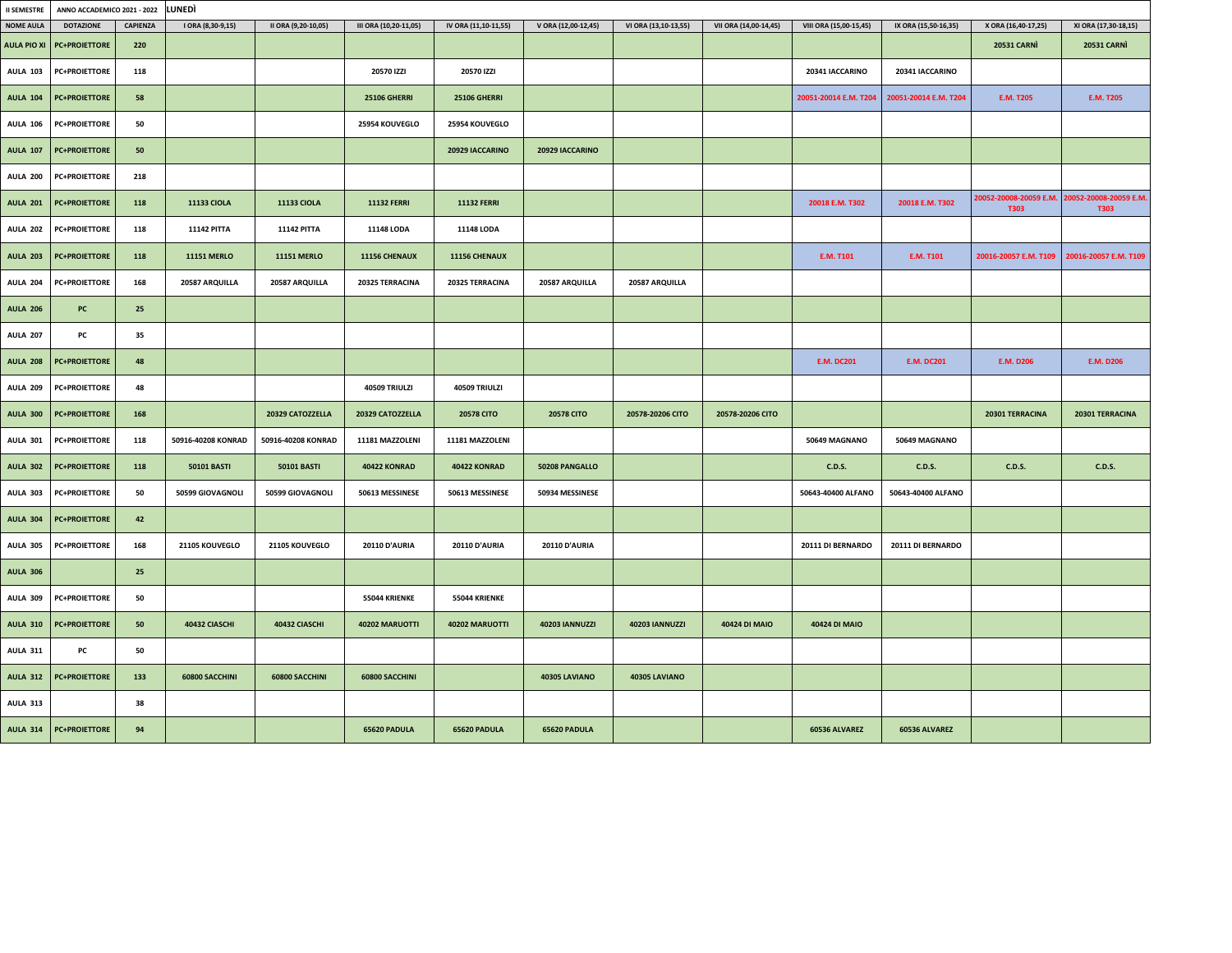| <b>II SEMESTRE</b> | ANNO ACCADEMICO 2021 - 2022 | LUNEDÌ          |                    |                     |                       |                      |                       |                       |                       |                        |                       |                                |                                       |
|--------------------|-----------------------------|-----------------|--------------------|---------------------|-----------------------|----------------------|-----------------------|-----------------------|-----------------------|------------------------|-----------------------|--------------------------------|---------------------------------------|
| <b>NOME AULA</b>   | <b>DOTAZIONE</b>            | <b>CAPIENZA</b> | I ORA (8,30-9,15)  | II ORA (9,20-10,05) | III ORA (10,20-11,05) | IV ORA (11,10-11,55) | V ORA (12,00-12,45)   | VI ORA (13,10-13,55)  | VII ORA (14,00-14,45) | VIII ORA (15,00-15,45) | IX ORA (15,50-16,35)  | X ORA (16,40-17,25)            | XI ORA (17,30-18,15)                  |
| <b>AULA PIO XI</b> | <b>PC+PROIETTORE</b>        | 220             |                    |                     |                       |                      |                       |                       |                       |                        |                       | <b>20531 CARNI</b>             | <b>20531 CARNI</b>                    |
| <b>AULA 103</b>    | <b>PC+PROIETTORE</b>        | 118             |                    |                     | 20570 IZZI            | 20570 IZZI           |                       |                       |                       | 20341 IACCARINO        | 20341 IACCARINO       |                                |                                       |
| <b>AULA 104</b>    | <b>PC+PROIETTORE</b>        | 58              |                    |                     | <b>25106 GHERRI</b>   | <b>25106 GHERRI</b>  |                       |                       |                       | 20051-20014 E.M. T204  | 20051-20014 E.M. T204 | <b>E.M. T205</b>               | <b>E.M. T205</b>                      |
| <b>AULA 106</b>    | <b>PC+PROIETTORE</b>        | 50              |                    |                     | 25954 KOUVEGLO        | 25954 KOUVEGLO       |                       |                       |                       |                        |                       |                                |                                       |
| <b>AULA 107</b>    | <b>PC+PROIETTORE</b>        | 50              |                    |                     |                       | 20929 IACCARINO      | 20929 IACCARINO       |                       |                       |                        |                       |                                |                                       |
| <b>AULA 200</b>    | <b>PC+PROIETTORE</b>        | 218             |                    |                     |                       |                      |                       |                       |                       |                        |                       |                                |                                       |
| <b>AULA 201</b>    | <b>PC+PROIETTORE</b>        | 118             | <b>11133 CIOLA</b> | <b>11133 CIOLA</b>  | <b>11132 FERRI</b>    | <b>11132 FERRI</b>   |                       |                       |                       | 20018 E.M. T302        | 20018 E.M. T302       | 20052-20008-20059 E.M.<br>T303 | 20052-20008-20059 E.M.<br><b>T303</b> |
| <b>AULA 202</b>    | <b>PC+PROIETTORE</b>        | 118             | <b>11142 PITTA</b> | <b>11142 PITTA</b>  | 11148 LODA            | 11148 LODA           |                       |                       |                       |                        |                       |                                |                                       |
| <b>AULA 203</b>    | <b>PC+PROIETTORE</b>        | 118             | <b>11151 MERLO</b> | <b>11151 MERLO</b>  | 11156 CHENAUX         | 11156 CHENAUX        |                       |                       |                       | <b>E.M. T101</b>       | <b>E.M. T101</b>      | 20016-20057 E.M. T109          | 20016-20057 E.M. T109                 |
| <b>AULA 204</b>    | <b>PC+PROIETTORE</b>        | 168             | 20587 ARQUILLA     | 20587 ARQUILLA      | 20325 TERRACINA       | 20325 TERRACINA      | 20587 ARQUILLA        | 20587 ARQUILLA        |                       |                        |                       |                                |                                       |
| <b>AULA 206</b>    | PC                          | 25              |                    |                     |                       |                      |                       |                       |                       |                        |                       |                                |                                       |
| <b>AULA 207</b>    | PC                          | 35              |                    |                     |                       |                      |                       |                       |                       |                        |                       |                                |                                       |
| <b>AULA 208</b>    | <b>PC+PROIETTORE</b>        | 48              |                    |                     |                       |                      |                       |                       |                       | <b>E.M. DC201</b>      | <b>E.M. DC201</b>     | <b>E.M. D206</b>               | E.M. D206                             |
| <b>AULA 209</b>    | <b>PC+PROIETTORE</b>        | 48              |                    |                     | 40509 TRIULZI         | 40509 TRIULZI        |                       |                       |                       |                        |                       |                                |                                       |
| <b>AULA 300</b>    | <b>PC+PROIETTORE</b>        | 168             |                    | 20329 CATOZZELLA    | 20329 CATOZZELLA      | <b>20578 CITO</b>    | <b>20578 CITO</b>     | 20578-20206 CITO      | 20578-20206 CITO      |                        |                       | 20301 TERRACINA                | 20301 TERRACINA                       |
| <b>AULA 301</b>    | <b>PC+PROIETTORE</b>        | 118             | 50916-40208 KONRAD | 50916-40208 KONRAD  | 11181 MAZZOLENI       | 11181 MAZZOLENI      |                       |                       |                       | 50649 MAGNANO          | 50649 MAGNANO         |                                |                                       |
| <b>AULA 302</b>    | <b>PC+PROIETTORE</b>        | 118             | <b>50101 BASTI</b> | <b>50101 BASTI</b>  | 40422 KONRAD          | 40422 KONRAD         | 50208 PANGALLO        |                       |                       | <b>C.D.S.</b>          | <b>C.D.S.</b>         | <b>C.D.S.</b>                  | <b>C.D.S.</b>                         |
| <b>AULA 303</b>    | <b>PC+PROIETTORE</b>        | 50              | 50599 GIOVAGNOLI   | 50599 GIOVAGNOLI    | 50613 MESSINESE       | 50613 MESSINESE      | 50934 MESSINESE       |                       |                       | 50643-40400 ALFANO     | 50643-40400 ALFANO    |                                |                                       |
| <b>AULA 304</b>    | <b>PC+PROIETTORE</b>        | 42              |                    |                     |                       |                      |                       |                       |                       |                        |                       |                                |                                       |
| <b>AULA 305</b>    | <b>PC+PROIETTORE</b>        | 168             | 21105 KOUVEGLO     | 21105 KOUVEGLO      | <b>20110 D'AURIA</b>  | <b>20110 D'AURIA</b> | <b>20110 D'AURIA</b>  |                       |                       | 20111 DI BERNARDO      | 20111 DI BERNARDO     |                                |                                       |
| <b>AULA 306</b>    |                             | 25              |                    |                     |                       |                      |                       |                       |                       |                        |                       |                                |                                       |
| <b>AULA 309</b>    | <b>PC+PROIETTORE</b>        | 50              |                    |                     | 55044 KRIENKE         | 55044 KRIENKE        |                       |                       |                       |                        |                       |                                |                                       |
| <b>AULA 310</b>    | <b>PC+PROIETTORE</b>        | 50              | 40432 CIASCHI      | 40432 CIASCHI       | 40202 MARUOTTI        | 40202 MARUOTTI       | <b>40203 IANNUZZI</b> | <b>40203 IANNUZZI</b> | 40424 DI MAIO         | 40424 DI MAIO          |                       |                                |                                       |
| <b>AULA 311</b>    | PC                          | 50              |                    |                     |                       |                      |                       |                       |                       |                        |                       |                                |                                       |
| <b>AULA 312</b>    | <b>PC+PROIETTORE</b>        | 133             | 60800 SACCHINI     | 60800 SACCHINI      | 60800 SACCHINI        |                      | 40305 LAVIANO         | 40305 LAVIANO         |                       |                        |                       |                                |                                       |
| <b>AULA 313</b>    |                             | 38              |                    |                     |                       |                      |                       |                       |                       |                        |                       |                                |                                       |
|                    | AULA 314 PC+PROIETTORE      | 94              |                    |                     | 65620 PADULA          | 65620 PADULA         | 65620 PADULA          |                       |                       | 60536 ALVAREZ          | 60536 ALVAREZ         |                                |                                       |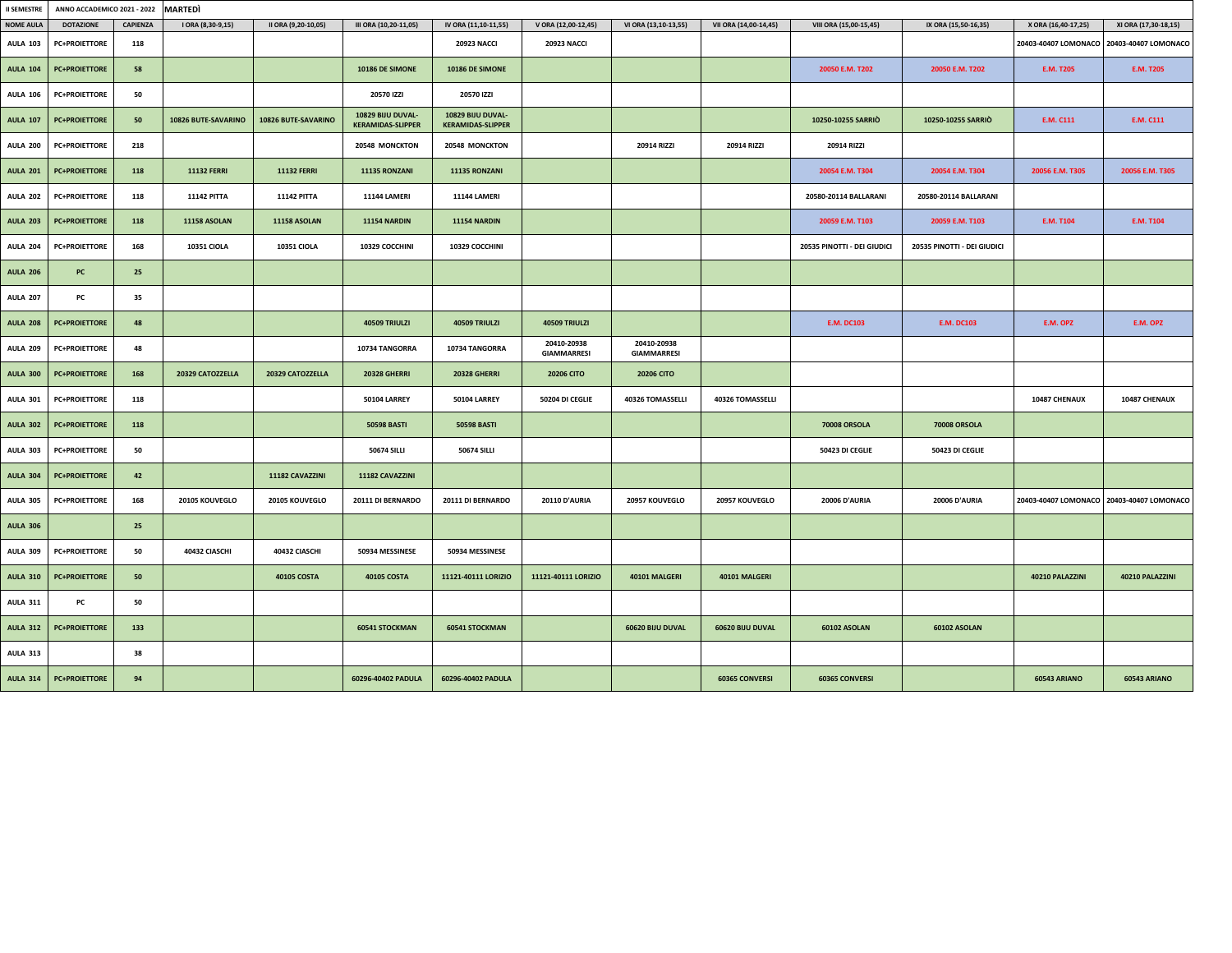| <b>II SEMESTRE</b> | ANNO ACCADEMICO 2021 - 2022<br><b>MARTEDI</b> |          |                     |                     |                                               |                                               |                                   |                                   |                       |                             |                             |                     |                                           |
|--------------------|-----------------------------------------------|----------|---------------------|---------------------|-----------------------------------------------|-----------------------------------------------|-----------------------------------|-----------------------------------|-----------------------|-----------------------------|-----------------------------|---------------------|-------------------------------------------|
| <b>NOME AULA</b>   | <b>DOTAZIONE</b>                              | CAPIENZA | I ORA (8,30-9,15)   | II ORA (9,20-10,05) | III ORA (10,20-11,05)                         | IV ORA (11,10-11,55)                          | V ORA (12,00-12,45)               | VI ORA (13,10-13,55)              | VII ORA (14,00-14,45) | VIII ORA (15,00-15,45)      | IX ORA (15,50-16,35)        | X ORA (16,40-17,25) | XI ORA (17,30-18,15)                      |
| <b>AULA 103</b>    | <b>PC+PROIETTORE</b>                          | 118      |                     |                     |                                               | <b>20923 NACCI</b>                            | <b>20923 NACCI</b>                |                                   |                       |                             |                             |                     | 20403-40407 LOMONACO 20403-40407 LOMONACO |
| <b>AULA 104</b>    | <b>PC+PROIETTORE</b>                          | 58       |                     |                     | 10186 DE SIMONE                               | 10186 DE SIMONE                               |                                   |                                   |                       | 20050 E.M. T202             | 20050 E.M. T202             | <b>E.M. T205</b>    | <b>E.M. T205</b>                          |
| <b>AULA 106</b>    | <b>PC+PROIETTORE</b>                          | 50       |                     |                     | 20570 IZZI                                    | 20570 IZZI                                    |                                   |                                   |                       |                             |                             |                     |                                           |
| <b>AULA 107</b>    | <b>PC+PROIETTORE</b>                          | 50       | 10826 BUTE-SAVARINO | 10826 BUTE-SAVARINO | 10829 BIJU DUVAL-<br><b>KERAMIDAS-SLIPPER</b> | 10829 BIJU DUVAL-<br><b>KERAMIDAS-SLIPPER</b> |                                   |                                   |                       | 10250-10255 SARRIO          | 10250-10255 SARRIO          | E.M. C111           | E.M. C111                                 |
| <b>AULA 200</b>    | <b>PC+PROIETTORE</b>                          | 218      |                     |                     | 20548 MONCKTON                                | 20548 MONCKTON                                |                                   | 20914 RIZZI                       | 20914 RIZZI           | 20914 RIZZI                 |                             |                     |                                           |
| <b>AULA 201</b>    | <b>PC+PROIETTORE</b>                          | 118      | <b>11132 FERRI</b>  | <b>11132 FERRI</b>  | 11135 RONZANI                                 | 11135 RONZANI                                 |                                   |                                   |                       | 20054 E.M. T304             | 20054 E.M. T304             | 20056 E.M. T305     | 20056 E.M. T305                           |
| <b>AULA 202</b>    | <b>PC+PROIETTORE</b>                          | 118      | <b>11142 PITTA</b>  | <b>11142 PITTA</b>  | 11144 LAMERI                                  | 11144 LAMERI                                  |                                   |                                   |                       | 20580-20114 BALLARANI       | 20580-20114 BALLARANI       |                     |                                           |
| <b>AULA 203</b>    | <b>PC+PROIETTORE</b>                          | 118      | <b>11158 ASOLAN</b> | <b>11158 ASOLAN</b> | 11154 NARDIN                                  | <b>11154 NARDIN</b>                           |                                   |                                   |                       | 20059 E.M. T103             | 20059 E.M. T103             | E.M. T104           | <b>E.M. T104</b>                          |
| <b>AULA 204</b>    | <b>PC+PROIETTORE</b>                          | 168      | <b>10351 CIOLA</b>  | <b>10351 CIOLA</b>  | 10329 COCCHINI                                | 10329 COCCHINI                                |                                   |                                   |                       | 20535 PINOTTI - DEI GIUDICI | 20535 PINOTTI - DEI GIUDICI |                     |                                           |
| <b>AULA 206</b>    | PC                                            | 25       |                     |                     |                                               |                                               |                                   |                                   |                       |                             |                             |                     |                                           |
| <b>AULA 207</b>    | PC                                            | 35       |                     |                     |                                               |                                               |                                   |                                   |                       |                             |                             |                     |                                           |
| <b>AULA 208</b>    | <b>PC+PROIETTORE</b>                          | 48       |                     |                     | 40509 TRIULZI                                 | 40509 TRIULZI                                 | 40509 TRIULZI                     |                                   |                       | <b>E.M. DC103</b>           | <b>E.M. DC103</b>           | E.M. OPZ            | E.M. OPZ                                  |
| <b>AULA 209</b>    | <b>PC+PROIETTORE</b>                          | 48       |                     |                     | 10734 TANGORRA                                | 10734 TANGORRA                                | 20410-20938<br><b>GIAMMARRESI</b> | 20410-20938<br><b>GIAMMARRESI</b> |                       |                             |                             |                     |                                           |
| <b>AULA 300</b>    | <b>PC+PROIETTORE</b>                          | 168      | 20329 CATOZZELLA    | 20329 CATOZZELLA    | <b>20328 GHERRI</b>                           | <b>20328 GHERRI</b>                           | <b>20206 CITO</b>                 | <b>20206 CITO</b>                 |                       |                             |                             |                     |                                           |
| <b>AULA 301</b>    | <b>PC+PROIETTORE</b>                          | 118      |                     |                     | <b>50104 LARREY</b>                           | <b>50104 LARREY</b>                           | 50204 DI CEGLIE                   | 40326 TOMASSELLI                  | 40326 TOMASSELLI      |                             |                             | 10487 CHENAUX       | 10487 CHENAUX                             |
| <b>AULA 302</b>    | <b>PC+PROIETTORE</b>                          | 118      |                     |                     | <b>50598 BASTI</b>                            | <b>50598 BASTI</b>                            |                                   |                                   |                       | <b>70008 ORSOLA</b>         | <b>70008 ORSOLA</b>         |                     |                                           |
| <b>AULA 303</b>    | <b>PC+PROIETTORE</b>                          | 50       |                     |                     | <b>50674 SILLI</b>                            | <b>50674 SILLI</b>                            |                                   |                                   |                       | 50423 DI CEGLIE             | 50423 DI CEGLIE             |                     |                                           |
| <b>AULA 304</b>    | <b>PC+PROIETTORE</b>                          | 42       |                     | 11182 CAVAZZINI     | 11182 CAVAZZINI                               |                                               |                                   |                                   |                       |                             |                             |                     |                                           |
| <b>AULA 305</b>    | <b>PC+PROIETTORE</b>                          | 168      | 20105 KOUVEGLO      | 20105 KOUVEGLO      | 20111 DI BERNARDO                             | 20111 DI BERNARDO                             | <b>20110 D'AURIA</b>              | 20957 KOUVEGLO                    | 20957 KOUVEGLO        | <b>20006 D'AURIA</b>        | <b>20006 D'AURIA</b>        |                     | 20403-40407 LOMONACO 20403-40407 LOMONACO |
| <b>AULA 306</b>    |                                               | 25       |                     |                     |                                               |                                               |                                   |                                   |                       |                             |                             |                     |                                           |
| <b>AULA 309</b>    | <b>PC+PROIETTORE</b>                          | 50       | 40432 CIASCHI       | 40432 CIASCHI       | 50934 MESSINESE                               | 50934 MESSINESE                               |                                   |                                   |                       |                             |                             |                     |                                           |
| <b>AULA 310</b>    | <b>PC+PROIETTORE</b>                          | 50       |                     | <b>40105 COSTA</b>  | <b>40105 COSTA</b>                            | 11121-40111 LORIZIO                           | 11121-40111 LORIZIO               | 40101 MALGERI                     | 40101 MALGERI         |                             |                             | 40210 PALAZZINI     | 40210 PALAZZINI                           |
| <b>AULA 311</b>    | PC                                            | 50       |                     |                     |                                               |                                               |                                   |                                   |                       |                             |                             |                     |                                           |
| <b>AULA 312</b>    | <b>PC+PROIETTORE</b>                          | 133      |                     |                     | <b>60541 STOCKMAN</b>                         | <b>60541 STOCKMAN</b>                         |                                   | 60620 BIJU DUVAL                  | 60620 BIJU DUVAL      | 60102 ASOLAN                | 60102 ASOLAN                |                     |                                           |
| AULA 313           |                                               | 38       |                     |                     |                                               |                                               |                                   |                                   |                       |                             |                             |                     |                                           |
| <b>AULA 314</b>    | <b>PC+PROIETTORE</b>                          | 94       |                     |                     | 60296-40402 PADULA                            | 60296-40402 PADULA                            |                                   |                                   | <b>60365 CONVERSI</b> | <b>60365 CONVERSI</b>       |                             | 60543 ARIANO        | 60543 ARIANO                              |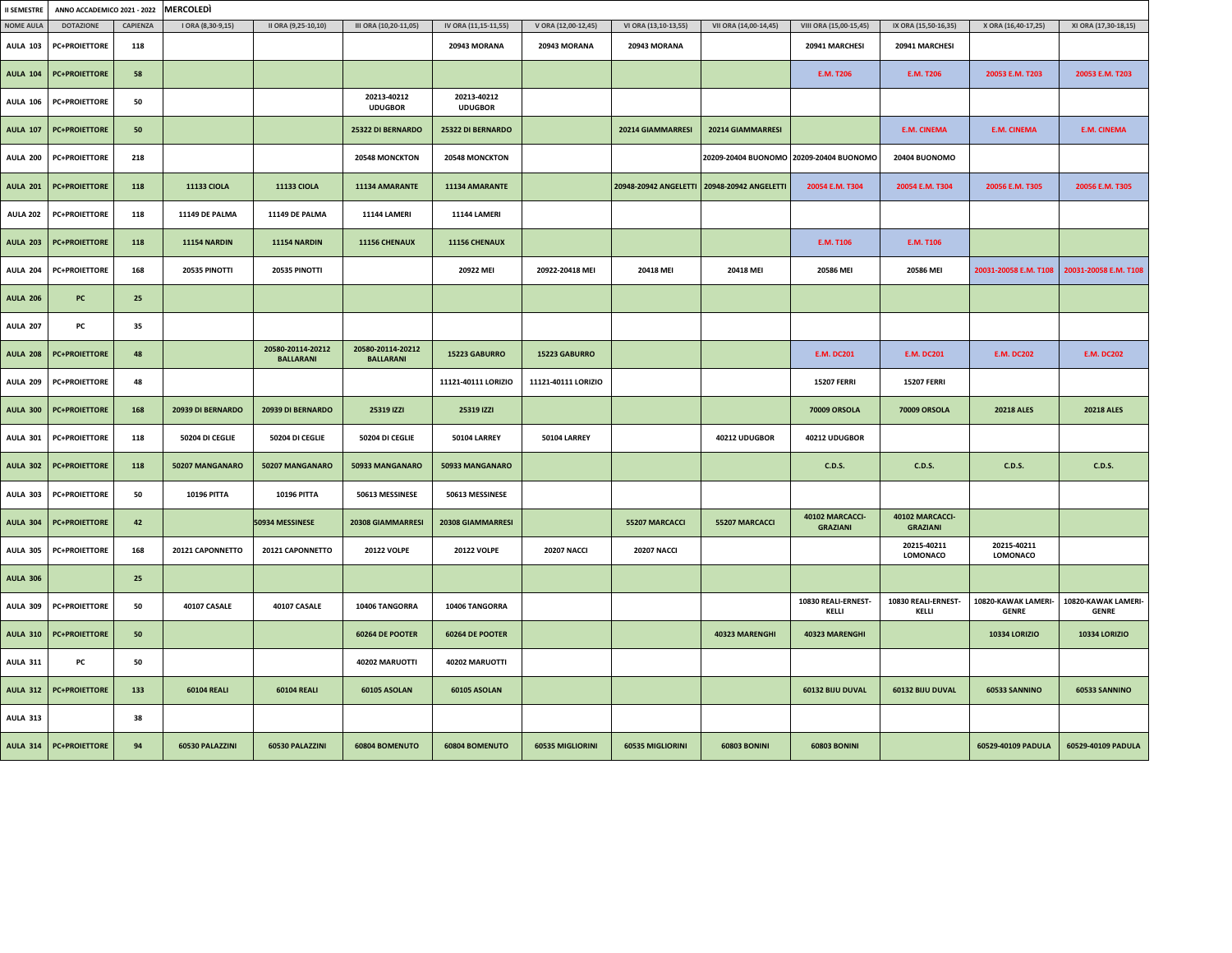| <b>II SEMESTRE</b> | ANNO ACCADEMICO 2021 - 2022 |                 | <b>MERCOLEDI</b>    |                                       |                                       |                               |                     |                                             |                       |                                         |                                    |                                     |                                     |
|--------------------|-----------------------------|-----------------|---------------------|---------------------------------------|---------------------------------------|-------------------------------|---------------------|---------------------------------------------|-----------------------|-----------------------------------------|------------------------------------|-------------------------------------|-------------------------------------|
| <b>NOME AULA</b>   | <b>DOTAZIONE</b>            | <b>CAPIENZA</b> | I ORA (8,30-9,15)   | II ORA (9,25-10,10)                   | III ORA (10,20-11,05)                 | IV ORA (11,15-11,55)          | V ORA (12,00-12,45) | VI ORA (13,10-13,55)                        | VII ORA (14,00-14,45) | VIII ORA (15,00-15,45)                  | IX ORA (15,50-16,35)               | X ORA (16,40-17,25)                 | XI ORA (17,30-18,15)                |
| <b>AULA 103</b>    | <b>PC+PROIETTORE</b>        | 118             |                     |                                       |                                       | 20943 MORANA                  | 20943 MORANA        | 20943 MORANA                                |                       | 20941 MARCHESI                          | 20941 MARCHESI                     |                                     |                                     |
| <b>AULA 104</b>    | <b>PC+PROIETTORE</b>        | 58              |                     |                                       |                                       |                               |                     |                                             |                       | <b>E.M. T206</b>                        | E.M. T206                          | 20053 E.M. T203                     | 20053 E.M. T203                     |
| <b>AULA 106</b>    | <b>PC+PROIETTORE</b>        | 50              |                     |                                       | 20213-40212<br><b>UDUGBOR</b>         | 20213-40212<br><b>UDUGBOR</b> |                     |                                             |                       |                                         |                                    |                                     |                                     |
| <b>AULA 107</b>    | <b>PC+PROIETTORE</b>        | 50              |                     |                                       | 25322 DI BERNARDO                     | 25322 DI BERNARDO             |                     | 20214 GIAMMARRESI                           | 20214 GIAMMARRESI     |                                         | <b>E.M. CINEMA</b>                 | <b>E.M. CINEMA</b>                  | <b>E.M. CINEMA</b>                  |
| <b>AULA 200</b>    | <b>PC+PROIETTORE</b>        | 218             |                     |                                       | 20548 MONCKTON                        | 20548 MONCKTON                |                     |                                             |                       | 20209-20404 BUONOMO 20209-20404 BUONOMO | 20404 BUONOMO                      |                                     |                                     |
| <b>AULA 201</b>    | <b>PC+PROIETTORE</b>        | 118             | <b>11133 CIOLA</b>  | <b>11133 CIOLA</b>                    | 11134 AMARANTE                        | 11134 AMARANTE                |                     | 20948-20942 ANGELETTI 20948-20942 ANGELETTI |                       | 20054 E.M. T304                         | 20054 E.M. T304                    | 20056 E.M. T305                     | 20056 E.M. T305                     |
| <b>AULA 202</b>    | <b>PC+PROIETTORE</b>        | 118             | 11149 DE PALMA      | 11149 DE PALMA                        | <b>11144 LAMERI</b>                   | <b>11144 LAMERI</b>           |                     |                                             |                       |                                         |                                    |                                     |                                     |
| <b>AULA 203</b>    | <b>PC+PROIETTORE</b>        | 118             | <b>11154 NARDIN</b> | 11154 NARDIN                          | 11156 CHENAUX                         | 11156 CHENAUX                 |                     |                                             |                       | E.M. T106                               | <b>E.M. T106</b>                   |                                     |                                     |
| <b>AULA 204</b>    | <b>PC+PROIETTORE</b>        | 168             | 20535 PINOTTI       | 20535 PINOTTI                         |                                       | 20922 MEI                     | 20922-20418 MEI     | 20418 MEI                                   | <b>20418 MEI</b>      | 20586 MEI                               | 20586 MEI                          | 20031-20058 E.M. T108               | 20031-20058 E.M. T108               |
| <b>AULA 206</b>    | PC                          | 25              |                     |                                       |                                       |                               |                     |                                             |                       |                                         |                                    |                                     |                                     |
| <b>AULA 207</b>    | PC                          | 35              |                     |                                       |                                       |                               |                     |                                             |                       |                                         |                                    |                                     |                                     |
| <b>AULA 208</b>    | <b>PC+PROIETTORE</b>        | 48              |                     | 20580-20114-20212<br><b>BALLARANI</b> | 20580-20114-20212<br><b>BALLARANI</b> | 15223 GABURRO                 | 15223 GABURRO       |                                             |                       | <b>E.M. DC201</b>                       | <b>E.M. DC201</b>                  | <b>E.M. DC202</b>                   | <b>E.M. DC202</b>                   |
| <b>AULA 209</b>    | <b>PC+PROIETTORE</b>        | 48              |                     |                                       |                                       | 11121-40111 LORIZIO           | 11121-40111 LORIZIO |                                             |                       | <b>15207 FERRI</b>                      | <b>15207 FERRI</b>                 |                                     |                                     |
| <b>AULA 300</b>    | <b>PC+PROIETTORE</b>        | 168             | 20939 DI BERNARDO   | 20939 DI BERNARDO                     | 25319 IZZI                            | 25319 IZZI                    |                     |                                             |                       | 70009 ORSOLA                            | 70009 ORSOLA                       | <b>20218 ALES</b>                   | <b>20218 ALES</b>                   |
| <b>AULA 301</b>    | <b>PC+PROIETTORE</b>        | 118             | 50204 DI CEGLIE     | 50204 DI CEGLIE                       | 50204 DI CEGLIE                       | <b>50104 LARREY</b>           | <b>50104 LARREY</b> |                                             | 40212 UDUGBOR         | 40212 UDUGBOR                           |                                    |                                     |                                     |
| <b>AULA 302</b>    | <b>PC+PROIETTORE</b>        | 118             | 50207 MANGANARO     | 50207 MANGANARO                       | 50933 MANGANARO                       | 50933 MANGANARO               |                     |                                             |                       | <b>C.D.S.</b>                           | <b>C.D.S.</b>                      | <b>C.D.S.</b>                       | C.D.S.                              |
| <b>AULA 303</b>    | <b>PC+PROIETTORE</b>        | 50              | <b>10196 PITTA</b>  | 10196 PITTA                           | 50613 MESSINESE                       | 50613 MESSINESE               |                     |                                             |                       |                                         |                                    |                                     |                                     |
| <b>AULA 304</b>    | <b>PC+PROIETTORE</b>        | 42              |                     | 50934 MESSINESE                       | 20308 GIAMMARRESI                     | 20308 GIAMMARRESI             |                     | 55207 MARCACCI                              | 55207 MARCACCI        | 40102 MARCACCI-<br><b>GRAZIANI</b>      | 40102 MARCACCI-<br><b>GRAZIANI</b> |                                     |                                     |
| <b>AULA 305</b>    | <b>PC+PROIETTORE</b>        | 168             | 20121 CAPONNETTO    | 20121 CAPONNETTO                      | <b>20122 VOLPE</b>                    | <b>20122 VOLPE</b>            | <b>20207 NACCI</b>  | <b>20207 NACCI</b>                          |                       |                                         | 20215-40211<br>LOMONACO            | 20215-40211<br>LOMONACO             |                                     |
| <b>AULA 306</b>    |                             | 25              |                     |                                       |                                       |                               |                     |                                             |                       |                                         |                                    |                                     |                                     |
| <b>AULA 309</b>    | <b>PC+PROIETTORE</b>        | 50              | 40107 CASALE        | 40107 CASALE                          | 10406 TANGORRA                        | 10406 TANGORRA                |                     |                                             |                       | 10830 REALI-ERNEST-<br>KELLI            | 10830 REALI-ERNEST-<br>KELLI       | 10820-KAWAK LAMERI-<br><b>GENRE</b> | 10820-KAWAK LAMERI-<br><b>GENRE</b> |
| <b>AULA 310</b>    | <b>PC+PROIETTORE</b>        | 50              |                     |                                       | 60264 DE POOTER                       | 60264 DE POOTER               |                     |                                             | 40323 MARENGHI        | 40323 MARENGHI                          |                                    | <b>10334 LORIZIO</b>                | <b>10334 LORIZIO</b>                |
| <b>AULA 311</b>    | PC                          | 50              |                     |                                       | 40202 MARUOTTI                        | 40202 MARUOTTI                |                     |                                             |                       |                                         |                                    |                                     |                                     |
| <b>AULA 312</b>    | <b>PC+PROIETTORE</b>        | 133             | <b>60104 REALI</b>  | 60104 REALI                           | 60105 ASOLAN                          | 60105 ASOLAN                  |                     |                                             |                       | 60132 BIJU DUVAL                        | 60132 BIJU DUVAL                   | 60533 SANNINO                       | 60533 SANNINO                       |
| <b>AULA 313</b>    |                             | 38              |                     |                                       |                                       |                               |                     |                                             |                       |                                         |                                    |                                     |                                     |
| <b>AULA 314</b>    | <b>PC+PROIETTORE</b>        | 94              | 60530 PALAZZINI     | 60530 PALAZZINI                       | 60804 BOMENUTO                        | 60804 BOMENUTO                | 60535 MIGLIORINI    | <b>60535 MIGLIORINI</b>                     | <b>60803 BONINI</b>   | <b>60803 BONINI</b>                     |                                    | 60529-40109 PADULA                  | 60529-40109 PADULA                  |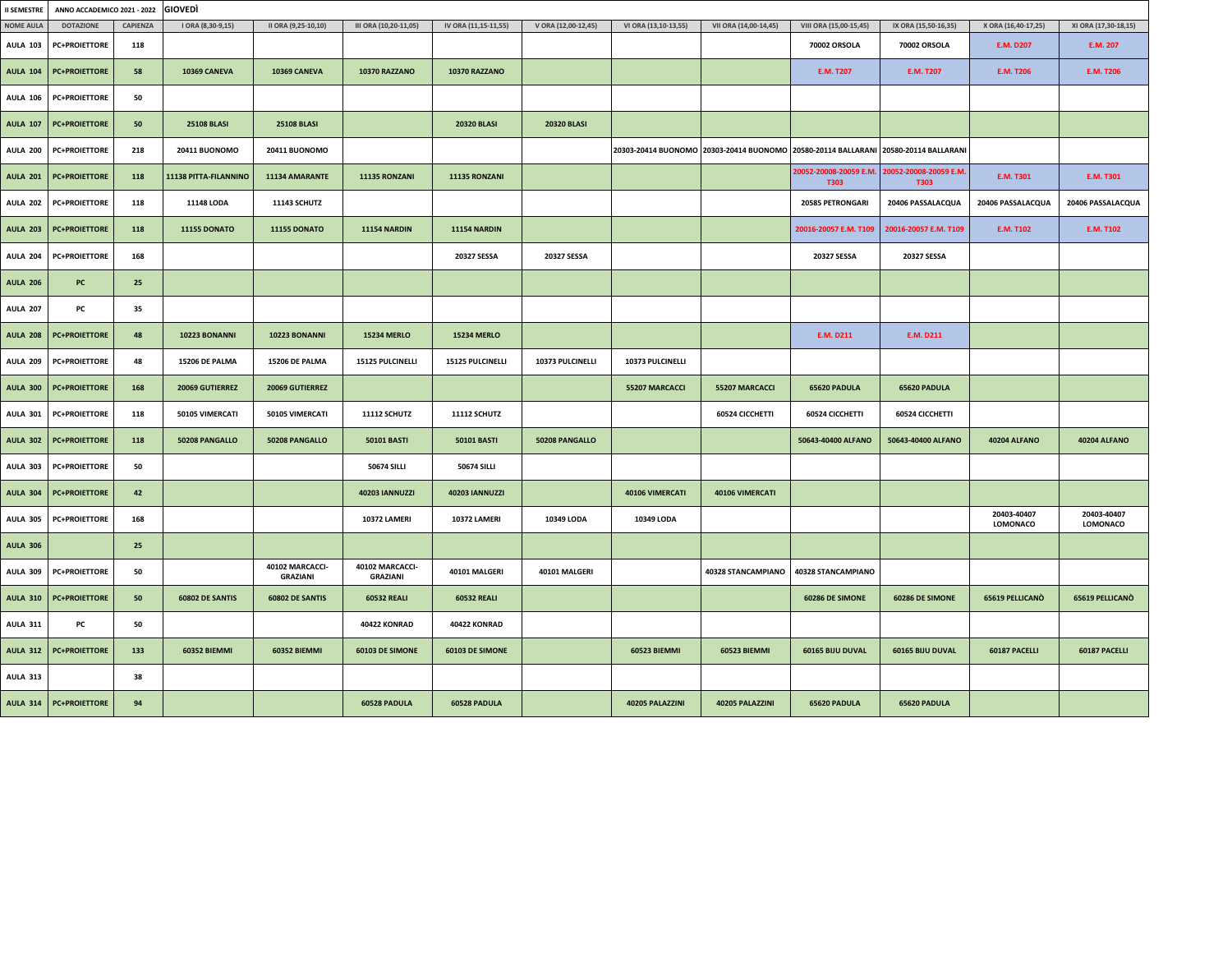| <b>II SEMESTRE</b> | ANNO ACCADEMICO 2021 - 2022 |          | <b>GIOVEDI</b>        |                                    |                                    |                       |                     |                      |                       |                                       |                                                                                     |                         |                         |
|--------------------|-----------------------------|----------|-----------------------|------------------------------------|------------------------------------|-----------------------|---------------------|----------------------|-----------------------|---------------------------------------|-------------------------------------------------------------------------------------|-------------------------|-------------------------|
| <b>NOME AULA</b>   | <b>DOTAZIONE</b>            | CAPIENZA | I ORA (8,30-9,15)     | II ORA (9,25-10,10)                | III ORA (10,20-11,05)              | IV ORA (11,15-11,55)  | V ORA (12,00-12,45) | VI ORA (13,10-13,55) | VII ORA (14,00-14,45) | VIII ORA (15,00-15,45)                | IX ORA (15,50-16,35)                                                                | X ORA (16,40-17,25)     | XI ORA (17,30-18,15)    |
| <b>AULA 103</b>    | <b>PC+PROIETTORE</b>        | 118      |                       |                                    |                                    |                       |                     |                      |                       | 70002 ORSOLA                          | 70002 ORSOLA                                                                        | <b>E.M. D207</b>        | E.M. 207                |
| <b>AULA 104</b>    | <b>PC+PROIETTORE</b>        | 58       | 10369 CANEVA          | 10369 CANEVA                       | 10370 RAZZANO                      | 10370 RAZZANO         |                     |                      |                       | E.M. T207                             | E.M. T207                                                                           | <b>E.M. T206</b>        | <b>E.M. T206</b>        |
| <b>AULA 106</b>    | <b>PC+PROIETTORE</b>        | 50       |                       |                                    |                                    |                       |                     |                      |                       |                                       |                                                                                     |                         |                         |
| <b>AULA 107</b>    | <b>PC+PROIETTORE</b>        | 50       | <b>25108 BLASI</b>    | <b>25108 BLASI</b>                 |                                    | <b>20320 BLASI</b>    | <b>20320 BLASI</b>  |                      |                       |                                       |                                                                                     |                         |                         |
| <b>AULA 200</b>    | <b>PC+PROIETTORE</b>        | 218      | <b>20411 BUONOMO</b>  | 20411 BUONOMO                      |                                    |                       |                     |                      |                       |                                       | 20303-20414 BUONOMO 20303-20414 BUONOMO 20580-20114 BALLARANI 20580-20114 BALLARANI |                         |                         |
| <b>AULA 201</b>    | <b>PC+PROIETTORE</b>        | 118      | 11138 PITTA-FILANNINO | 11134 AMARANTE                     | 11135 RONZANI                      | 11135 RONZANI         |                     |                      |                       | 20052-20008-20059 E.M.<br><b>T303</b> | 20052-20008-20059 E.M.<br><b>T303</b>                                               | E.M. T301               | E.M. T301               |
| <b>AULA 202</b>    | <b>PC+PROIETTORE</b>        | 118      | 11148 LODA            | 11143 SCHUTZ                       |                                    |                       |                     |                      |                       | 20585 PETRONGARI                      | 20406 PASSALACQUA                                                                   | 20406 PASSALACQUA       | 20406 PASSALACQUA       |
| <b>AULA 203</b>    | <b>PC+PROIETTORE</b>        | 118      | <b>11155 DONATO</b>   | <b>11155 DONATO</b>                | <b>11154 NARDIN</b>                | <b>11154 NARDIN</b>   |                     |                      |                       | 20016-20057 E.M. T109                 | 20016-20057 E.M. T109                                                               | <b>E.M. T102</b>        | <b>E.M. T102</b>        |
| <b>AULA 204</b>    | <b>PC+PROIETTORE</b>        | 168      |                       |                                    |                                    | 20327 SESSA           | 20327 SESSA         |                      |                       | 20327 SESSA                           | 20327 SESSA                                                                         |                         |                         |
| <b>AULA 206</b>    | PC                          | 25       |                       |                                    |                                    |                       |                     |                      |                       |                                       |                                                                                     |                         |                         |
| <b>AULA 207</b>    | PC                          | 35       |                       |                                    |                                    |                       |                     |                      |                       |                                       |                                                                                     |                         |                         |
| <b>AULA 208</b>    | <b>PC+PROIETTORE</b>        | 48       | 10223 BONANNI         | 10223 BONANNI                      | <b>15234 MERLO</b>                 | <b>15234 MERLO</b>    |                     |                      |                       | E.M. D211                             | E.M. D211                                                                           |                         |                         |
| <b>AULA 209</b>    | <b>PC+PROIETTORE</b>        | 48       | 15206 DE PALMA        | 15206 DE PALMA                     | 15125 PULCINELLI                   | 15125 PULCINELLI      | 10373 PULCINELLI    | 10373 PULCINELLI     |                       |                                       |                                                                                     |                         |                         |
| <b>AULA 300</b>    | <b>PC+PROIETTORE</b>        | 168      | 20069 GUTIERREZ       | 20069 GUTIERREZ                    |                                    |                       |                     | 55207 MARCACCI       | 55207 MARCACCI        | 65620 PADULA                          | 65620 PADULA                                                                        |                         |                         |
| <b>AULA 301</b>    | <b>PC+PROIETTORE</b>        | 118      | 50105 VIMERCATI       | 50105 VIMERCATI                    | 11112 SCHUTZ                       | 11112 SCHUTZ          |                     |                      | 60524 CICCHETTI       | 60524 CICCHETTI                       | 60524 CICCHETTI                                                                     |                         |                         |
| <b>AULA 302</b>    | <b>PC+PROIETTORE</b>        | 118      | 50208 PANGALLO        | 50208 PANGALLO                     | <b>50101 BASTI</b>                 | <b>50101 BASTI</b>    | 50208 PANGALLO      |                      |                       | 50643-40400 ALFANO                    | 50643-40400 ALFANO                                                                  | <b>40204 ALFANO</b>     | <b>40204 ALFANO</b>     |
| <b>AULA 303</b>    | <b>PC+PROIETTORE</b>        | 50       |                       |                                    | <b>50674 SILLI</b>                 | <b>50674 SILLI</b>    |                     |                      |                       |                                       |                                                                                     |                         |                         |
| <b>AULA 304</b>    | <b>PC+PROIETTORE</b>        | 42       |                       |                                    | <b>40203 IANNUZZI</b>              | <b>40203 IANNUZZI</b> |                     | 40106 VIMERCATI      | 40106 VIMERCATI       |                                       |                                                                                     |                         |                         |
| <b>AULA 305</b>    | <b>PC+PROIETTORE</b>        | 168      |                       |                                    | 10372 LAMERI                       | 10372 LAMERI          | 10349 LODA          | 10349 LODA           |                       |                                       |                                                                                     | 20403-40407<br>LOMONACO | 20403-40407<br>LOMONACO |
| <b>AULA 306</b>    |                             | 25       |                       |                                    |                                    |                       |                     |                      |                       |                                       |                                                                                     |                         |                         |
| <b>AULA 309</b>    | <b>PC+PROIETTORE</b>        | 50       |                       | 40102 MARCACCI-<br><b>GRAZIANI</b> | 40102 MARCACCI-<br><b>GRAZIANI</b> | 40101 MALGERI         | 40101 MALGERI       |                      | 40328 STANCAMPIANO    | 40328 STANCAMPIANO                    |                                                                                     |                         |                         |
| <b>AULA 310</b>    | <b>PC+PROIETTORE</b>        | 50       | 60802 DE SANTIS       | 60802 DE SANTIS                    | <b>60532 REALI</b>                 | <b>60532 REALI</b>    |                     |                      |                       | 60286 DE SIMONE                       | 60286 DE SIMONE                                                                     | 65619 PELLICANO         | 65619 PELLICANO         |
| <b>AULA 311</b>    | PC                          | 50       |                       |                                    | 40422 KONRAD                       | 40422 KONRAD          |                     |                      |                       |                                       |                                                                                     |                         |                         |
| <b>AULA 312</b>    | <b>PC+PROIETTORE</b>        | 133      | 60352 BIEMMI          | 60352 BIEMMI                       | 60103 DE SIMONE                    | 60103 DE SIMONE       |                     | 60523 BIEMMI         | 60523 BIEMMI          | 60165 BIJU DUVAL                      | 60165 BIJU DUVAL                                                                    | 60187 PACELLI           | 60187 PACELLI           |
| <b>AULA 313</b>    |                             | 38       |                       |                                    |                                    |                       |                     |                      |                       |                                       |                                                                                     |                         |                         |
| <b>AULA 314</b>    | <b>PC+PROIETTORE</b>        | 94       |                       |                                    | 60528 PADULA                       | 60528 PADULA          |                     | 40205 PALAZZINI      | 40205 PALAZZINI       | 65620 PADULA                          | 65620 PADULA                                                                        |                         |                         |